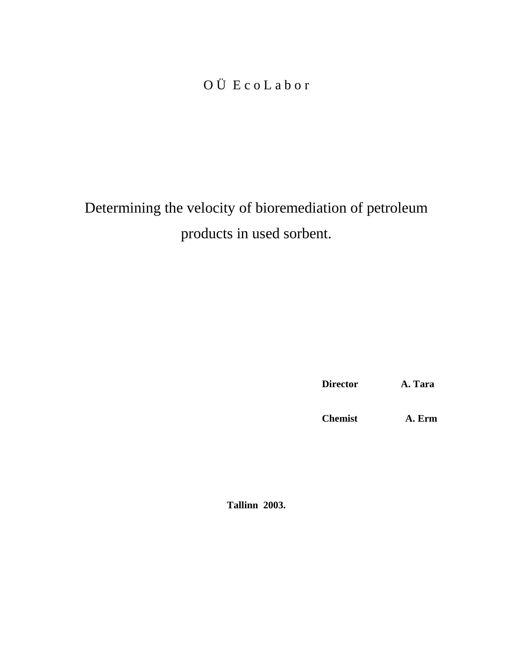# O Ü E c o L a b o r

Determining the velocity of bioremediation of petroleum products in used sorbent.

**Director A. Tara**

**Chemist A. Erm**

**Tallinn 2003.**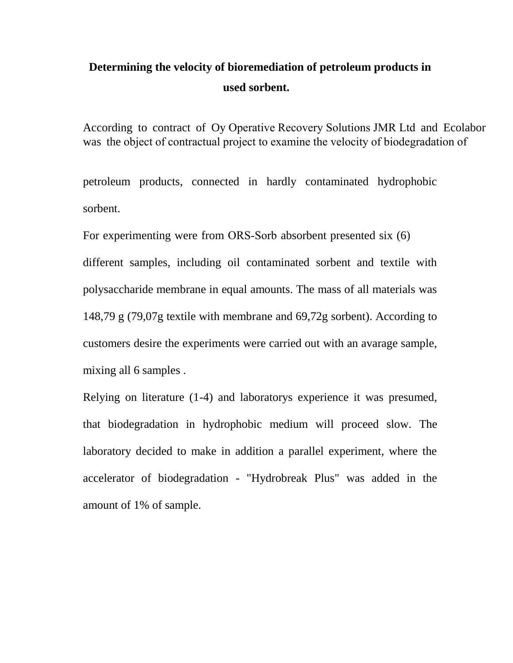## **Determining the velocity of bioremediation of petroleum products in used sorbent.**

According to contract of Oy Operative Recovery Solutions JMR Ltd and Ecolabor was the object of contractual project to examine the velocity of biodegradation of

petroleum products, connected in hardly contaminated hydrophobic sorbent.

For experimenting were from ORS-Sorb absorbent presented six (6)

different samples, including oil contaminated sorbent and textile with polysaccharide membrane in equal amounts. The mass of all materials was 148,79 g (79,07g textile with membrane and 69,72g sorbent). According to customers desire the experiments were carried out with an avarage sample, mixing all 6 samples .

Relying on literature (1-4) and laboratorys experience it was presumed, that biodegradation in hydrophobic medium will proceed slow. The laboratory decided to make in addition a parallel experiment, where the accelerator of biodegradation - "Hydrobreak Plus" was added in the amount of 1% of sample.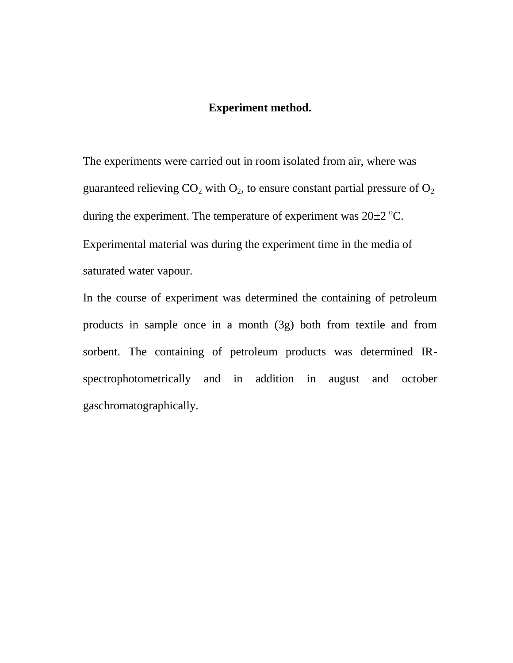#### **Experiment method.**

The experiments were carried out in room isolated from air, where was guaranteed relieving  $CO_2$  with  $O_2$ , to ensure constant partial pressure of  $O_2$ during the experiment. The temperature of experiment was  $20\pm2$  °C. Experimental material was during the experiment time in the media of saturated water vapour.

In the course of experiment was determined the containing of petroleum products in sample once in a month (3g) both from textile and from sorbent. The containing of petroleum products was determined IRspectrophotometrically and in addition in august and october gaschromatographically.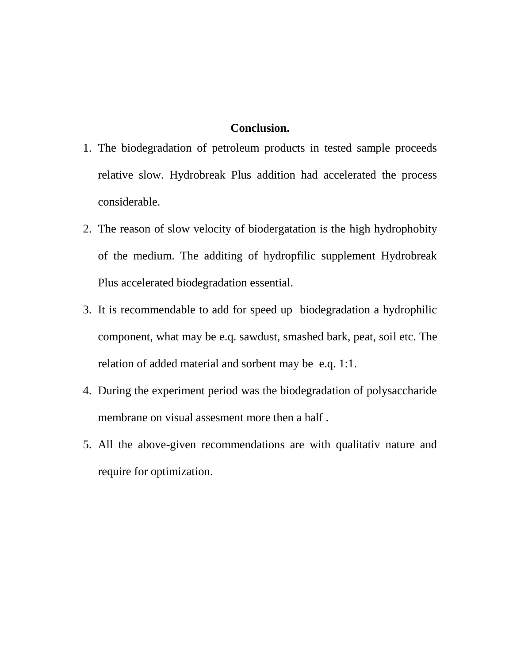### **Conclusion.**

- 1. The biodegradation of petroleum products in tested sample proceeds relative slow. Hydrobreak Plus addition had accelerated the process considerable.
- 2. The reason of slow velocity of biodergatation is the high hydrophobity of the medium. The additing of hydropfilic supplement Hydrobreak Plus accelerated biodegradation essential.
- 3. It is recommendable to add for speed up biodegradation a hydrophilic component, what may be e.q. sawdust, smashed bark, peat, soil etc. The relation of added material and sorbent may be e.q. 1:1.
- 4. During the experiment period was the biodegradation of polysaccharide membrane on visual assesment more then a half .
- 5. All the above-given recommendations are with qualitativ nature and require for optimization.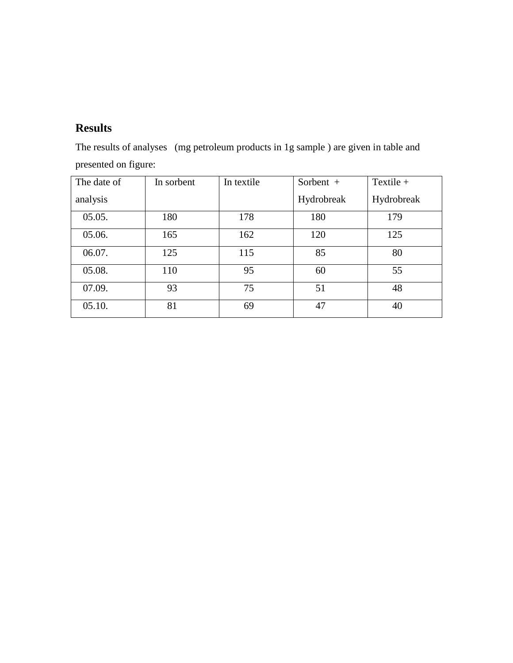### **Results**

The results of analyses (mg petroleum products in 1g sample ) are given in table and presented on figure:

| The date of | In sorbent | In textile | Sorbent +  | Textile $+$ |
|-------------|------------|------------|------------|-------------|
| analysis    |            |            | Hydrobreak | Hydrobreak  |
| 05.05.      | 180        | 178        | 180        | 179         |
| 05.06.      | 165        | 162        | 120        | 125         |
| 06.07.      | 125        | 115        | 85         | 80          |
| 05.08.      | 110        | 95         | 60         | 55          |
| 07.09.      | 93         | 75         | 51         | 48          |
| 05.10.      | 81         | 69         | 47         | 40          |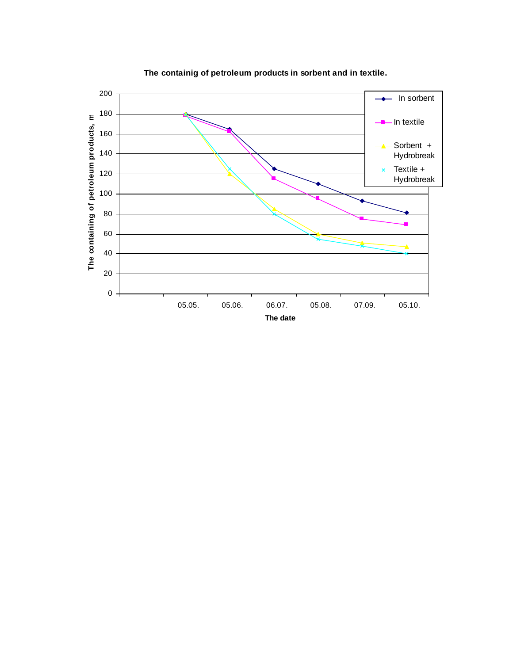

**The containig of petroleum products in sorbent and in textile.**